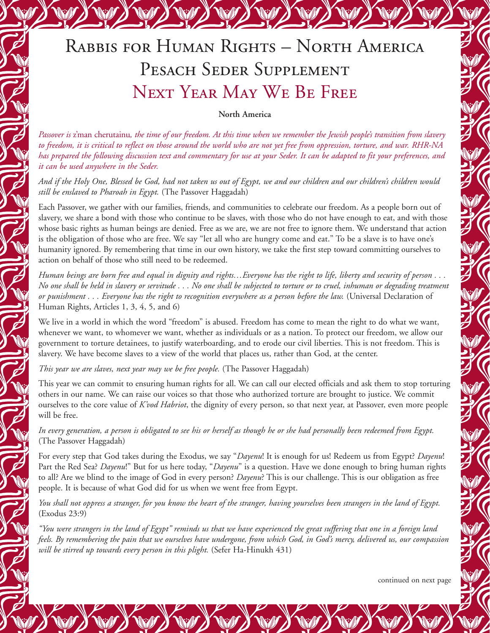# Rabbis for Human Rights – North America PESACH SEDER SUPPLEMENT Next Year May We Be Free

#### **North America**

Passover is z'man cherutainu, the time of our freedom. At this time when we remember the Jewish people's transition from slavery to freedom, it is critical to reflect on those around the world who are not yet free from oppression, torture, and war. RHR-NA has prepared the following discussion text and commentary for use at your Seder. It can be adapted to fit your preferences, and *it can be used anywhere in the Seder.*

And if the Holy One, Blessed be God, had not taken us out of Egypt, we and our children and our children's children would *still be enslaved to Pharoah in Egypt.* (The Passover Haggadah)

Each Passover, we gather with our families, friends, and communities to celebrate our freedom. As a people born out of slavery, we share a bond with those who continue to be slaves, with those who do not have enough to eat, and with those whose basic rights as human beings are denied. Free as we are, we are not free to ignore them. We understand that action is the obligation of those who are free. We say "let all who are hungry come and eat." To be a slave is to have one's humanity ignored. By remembering that time in our own history, we take the first step toward committing ourselves to action on behalf of those who still need to be redeemed.

Human beings are born free and equal in dignity and rights...Everyone has the right to life, liberty and security of person ... No one shall be held in slavery or servitude . . . No one shall be subjected to torture or to cruel, inhuman or degrading treatment or punishment . . . Everyone has the right to recognition everywhere as a person before the law. (Universal Declaration of Human Rights, Articles 1, 3, 4, 5, and 6)

We live in a world in which the word "freedom" is abused. Freedom has come to mean the right to do what we want, whenever we want, to whomever we want, whether as individuals or as a nation. To protect our freedom, we allow our government to torture detainees, to justify waterboarding, and to erode our civil liberties. This is not freedom. This is slavery. We have become slaves to a view of the world that places us, rather than God, at the center.

*This year we are slaves, next year may we be free people.* (The Passover Haggadah)

This year we can commit to ensuring human rights for all. We can call our elected officials and ask them to stop torturing others in our name. We can raise our voices so that those who authorized torture are brought to justice. We commit ourselves to the core value of *K'vod Habriot*, the dignity of every person, so that next year, at Passover, even more people will be free.

In every generation, a person is obligated to see his or herself as though he or she had personally been redeemed from Egypt. (The Passover Haggadah)

For every step that God takes during the Exodus, we say "*Dayenu*! It is enough for us! Redeem us from Egypt? *Dayenu*! Part the Red Sea? *Dayenu*!" But for us here today, "*Dayenu*" is a question. Have we done enough to bring human rights to all? Are we blind to the image of God in every person? *Dayenu*? This is our challenge. This is our obligation as free people. It is because of what God did for us when we went free from Egypt.

You shall not oppress a stranger, for you know the heart of the stranger, having yourselves been strangers in the land of Egypt. (Exodus 23:9)

"You were strangers in the land of Egypt" reminds us that we have experienced the great suffering that one in a foreign land feels. By remembering the pain that we ourselves have undergone, from which God, in God's mercy, delivered us, our compassion *will be stirred up towards every person in this plight.* (Sefer Ha-Hinukh 431)

continued on next page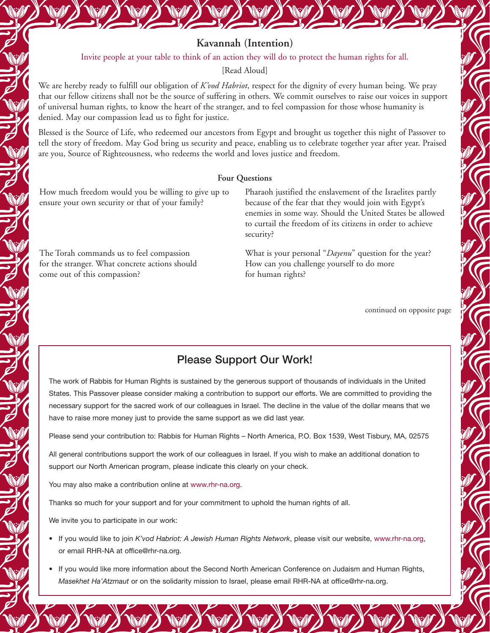#### Invite people at your table to think of an action they will do to protect the human rights for all.

[Read Aloud]

We are hereby ready to fulfill our obligation of *K'vod Habriot*, respect for the dignity of every human being. We pray that our fellow citizens shall not be the source of suffering in others. We commit ourselves to raise our voices in support of universal human rights, to know the heart of the stranger, and to feel compassion for those whose humanity is denied. May our compassion lead us to fight for justice.

Blessed is the Source of Life, who redeemed our ancestors from Egypt and brought us together this night of Passover to tell the story of freedom. May God bring us security and peace, enabling us to celebrate together year after year. Praised are you, Source of Righteousness, who redeems the world and loves justice and freedom.

### **Four Questions**

How much freedom would you be willing to give up to ensure your own security or that of your family?

The Torah commands us to feel compassion for the stranger. What concrete actions should come out of this compassion?

Pharaoh justified the enslavement of the Israelites partly because of the fear that they would join with Egypt's enemies in some way. Should the United States be allowed to curtail the freedom of its citizens in order to achieve security?

What is your personal "*Dayenu*" question for the year? How can you challenge yourself to do more for human rights?

continued on opposite page

## Please Support Our Work!

The work of Rabbis for Human Rights is sustained by the generous support of thousands of individuals in the United States. This Passover please consider making a contribution to support our efforts. We are committed to providing the necessary support for the sacred work of our colleagues in Israel. The decline in the value of the dollar means that we have to raise more money just to provide the same support as we did last year.

Please send your contribution to: Rabbis for Human Rights – North America, P.O. Box 1539, West Tisbury, MA, 02575

All general contributions support the work of our colleagues in Israel. If you wish to make an additional donation to support our North American program, please indicate this clearly on your check.

You may also make a contribution online at www.rhr-na.org.

Thanks so much for your support and for your commitment to uphold the human rights of all.

We invite you to participate in our work:

- If you would like to join *K'vod Habriot: A Jewish Human Rights Network*, please visit our website, www.rhr-na.org, or email RHR-NA at office@rhr-na.org.
- If you would like more information about the Second North American Conference on Judaism and Human Rights, *Masekhet Ha'Atzmaut* or on the solidarity mission to Israel, please email RHR-NA at office@rhr-na.org.